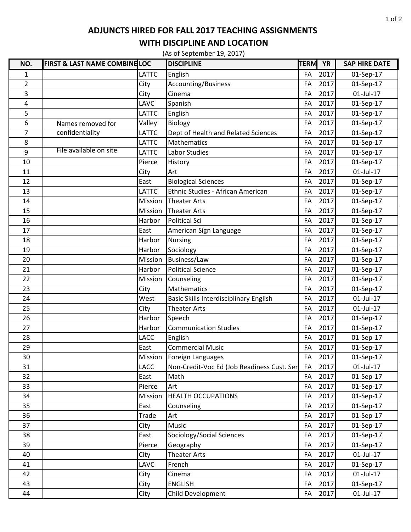## **WITH DISCIPLINE AND LOCATION ADJUNCTS HIRED FOR FALL 2017 TEACHING ASSIGNMENTS**

(As of September 19, 2017)

| NO.            | <b>FIRST &amp; LAST NAME COMBINELOC</b> |              | <b>DISCIPLINE</b>                             | <b>TERM</b> | <b>YR</b> | <b>SAP HIRE DATE</b> |
|----------------|-----------------------------------------|--------------|-----------------------------------------------|-------------|-----------|----------------------|
| 1              |                                         | <b>LATTC</b> | English                                       | FA          | 2017      | 01-Sep-17            |
| $\overline{2}$ |                                         | City         | <b>Accounting/Business</b>                    | FA          | 2017      | 01-Sep-17            |
| 3              |                                         | City         | Cinema                                        | FA          | 2017      | 01-Jul-17            |
| 4              |                                         | LAVC         | Spanish                                       | FA          | 2017      | 01-Sep-17            |
| 5              |                                         | <b>LATTC</b> | English                                       | FA          | 2017      | 01-Sep-17            |
| 6              | Names removed for                       | Valley       | Biology                                       | FA          | 2017      | 01-Sep-17            |
| $\overline{7}$ | confidentiality                         | <b>LATTC</b> | Dept of Health and Related Sciences           | FA          | 2017      | 01-Sep-17            |
| 8              |                                         | <b>LATTC</b> | Mathematics                                   | FA          | 2017      | 01-Sep-17            |
| 9              | File available on site                  | <b>LATTC</b> | Labor Studies                                 | FA          | 2017      | 01-Sep-17            |
| 10             |                                         | Pierce       | History                                       | FA          | 2017      | 01-Sep-17            |
| 11             |                                         | City         | Art                                           | FA          | 2017      | 01-Jul-17            |
| 12             |                                         | East         | <b>Biological Sciences</b>                    | FA          | 2017      | 01-Sep-17            |
| 13             |                                         | <b>LATTC</b> | Ethnic Studies - African American             | FA          | 2017      | 01-Sep-17            |
| 14             |                                         | Mission      | <b>Theater Arts</b>                           | FA          | 2017      | 01-Sep-17            |
| 15             |                                         | Mission      | Theater Arts                                  | FA          | 2017      | 01-Sep-17            |
| 16             |                                         | Harbor       | <b>Political Sci</b>                          | FA          | 2017      | 01-Sep-17            |
| 17             |                                         | East         | American Sign Language                        | FA          | 2017      | 01-Sep-17            |
| 18             |                                         | Harbor       | Nursing                                       | FA          | 2017      | 01-Sep-17            |
| 19             |                                         | Harbor       | Sociology                                     | FA          | 2017      | 01-Sep-17            |
| 20             |                                         | Mission      | <b>Business/Law</b>                           | FA          | 2017      | 01-Sep-17            |
| 21             |                                         | Harbor       | <b>Political Science</b>                      | FA          | 2017      | 01-Sep-17            |
| 22             |                                         | Mission      | Counseling                                    | FA          | 2017      | 01-Sep-17            |
| 23             |                                         | City         | Mathematics                                   | FA          | 2017      | 01-Sep-17            |
| 24             |                                         | West         | <b>Basic Skills Interdisciplinary English</b> | FA          | 2017      | 01-Jul-17            |
| 25             |                                         | City         | <b>Theater Arts</b>                           | FA          | 2017      | $01$ -Jul-17         |
| 26             |                                         | Harbor       | Speech                                        | FA          | 2017      | 01-Sep-17            |
| 27             |                                         | Harbor       | <b>Communication Studies</b>                  | FA          | 2017      | 01-Sep-17            |
| 28             |                                         | <b>LACC</b>  | English                                       | FA          | 2017      | 01-Sep-17            |
| 29             |                                         | East         | <b>Commercial Music</b>                       | FA          | 2017      | 01-Sep-17            |
| 30             |                                         | Mission      | Foreign Languages                             | FA          | 2017      | 01-Sep-17            |
| 31             |                                         | LACC         | Non-Credit-Voc Ed (Job Readiness Cust. Ser    | FA          | 2017      | 01-Jul-17            |
| 32             |                                         | East         | Math                                          | FA          | 2017      | 01-Sep-17            |
| 33             |                                         | Pierce       | Art                                           | FA          | 2017      | 01-Sep-17            |
| 34             |                                         | Mission      | <b>HEALTH OCCUPATIONS</b>                     | FA          | 2017      | 01-Sep-17            |
| 35             |                                         | East         | Counseling                                    | FA          | 2017      | 01-Sep-17            |
| 36             |                                         | <b>Trade</b> | Art                                           | FA          | 2017      | 01-Sep-17            |
| 37             |                                         | City         | Music                                         | FA          | 2017      | 01-Sep-17            |
| 38             |                                         | East         | Sociology/Social Sciences                     | FA          | 2017      | 01-Sep-17            |
| 39             |                                         | Pierce       | Geography                                     | FA          | 2017      | 01-Sep-17            |
| 40             |                                         | City         | <b>Theater Arts</b>                           | FA          | 2017      | 01-Jul-17            |
| 41             |                                         | LAVC         | French                                        | FA          | 2017      | 01-Sep-17            |
| 42             |                                         | City         | Cinema                                        | FA          | 2017      | 01-Jul-17            |
| 43             |                                         | City         | <b>ENGLISH</b>                                | FA          | 2017      | 01-Sep-17            |
| 44             |                                         | City         | Child Development                             | FA          | 2017      | 01-Jul-17            |